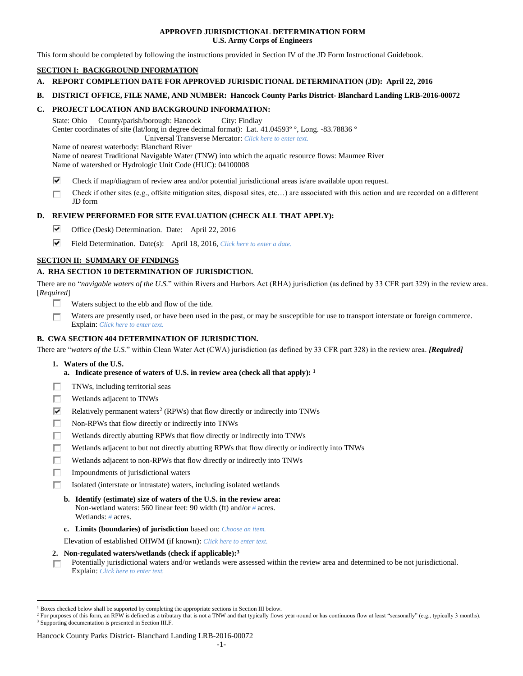# **APPROVED JURISDICTIONAL DETERMINATION FORM U.S. Army Corps of Engineers**

This form should be completed by following the instructions provided in Section IV of the JD Form Instructional Guidebook.

# **SECTION I: BACKGROUND INFORMATION**

- **A. REPORT COMPLETION DATE FOR APPROVED JURISDICTIONAL DETERMINATION (JD): April 22, 2016**
- **B. DISTRICT OFFICE, FILE NAME, AND NUMBER: Hancock County Parks District- Blanchard Landing LRB-2016-00072**

# **C. PROJECT LOCATION AND BACKGROUND INFORMATION:**

State: Ohio County/parish/borough: Hancock City: Findlay Center coordinates of site (lat/long in degree decimal format): Lat. 41.04593º °, Long. -83.78836 ° Universal Transverse Mercator: *Click here to enter text.*

Name of nearest waterbody: Blanchard River

Name of nearest Traditional Navigable Water (TNW) into which the aquatic resource flows: Maumee River Name of watershed or Hydrologic Unit Code (HUC): 04100008

- ⊽ Check if map/diagram of review area and/or potential jurisdictional areas is/are available upon request.
- Check if other sites (e.g., offsite mitigation sites, disposal sites, etc…) are associated with this action and are recorded on a different п JD form

# **D. REVIEW PERFORMED FOR SITE EVALUATION (CHECK ALL THAT APPLY):**

- ⊽ Office (Desk) Determination. Date: April 22, 2016
- ⊽. Field Determination. Date(s): April 18, 2016, *Click here to enter a date.*

# **SECTION II: SUMMARY OF FINDINGS**

# **A. RHA SECTION 10 DETERMINATION OF JURISDICTION.**

There are no "*navigable waters of the U.S.*" within Rivers and Harbors Act (RHA) jurisdiction (as defined by 33 CFR part 329) in the review area. [*Required*]

- п Waters subject to the ebb and flow of the tide.
- Waters are presently used, or have been used in the past, or may be susceptible for use to transport interstate or foreign commerce. П Explain: *Click here to enter text.*

# **B. CWA SECTION 404 DETERMINATION OF JURISDICTION.**

There are "*waters of the U.S.*" within Clean Water Act (CWA) jurisdiction (as defined by 33 CFR part 328) in the review area. *[Required]*

**1. Waters of the U.S.**

 $\overline{a}$ 

- **a. Indicate presence of waters of U.S. in review area (check all that apply): 1**
- п TNWs, including territorial seas
- П Wetlands adjacent to TNWs
- ⊽ Relatively permanent waters<sup>2</sup> (RPWs) that flow directly or indirectly into TNWs
- п Non-RPWs that flow directly or indirectly into TNWs
- П Wetlands directly abutting RPWs that flow directly or indirectly into TNWs
- п Wetlands adjacent to but not directly abutting RPWs that flow directly or indirectly into TNWs
- Wetlands adjacent to non-RPWs that flow directly or indirectly into TNWs п
- п Impoundments of jurisdictional waters
- П. Isolated (interstate or intrastate) waters, including isolated wetlands
	- **b. Identify (estimate) size of waters of the U.S. in the review area:** Non-wetland waters: 560 linear feet: 90 width (ft) and/or *#* acres. Wetlands: *#* acres.
	- **c. Limits (boundaries) of jurisdiction** based on: *Choose an item.*

Elevation of established OHWM (if known): *Click here to enter text.*

- **2. Non-regulated waters/wetlands (check if applicable): 3**
- Potentially jurisdictional waters and/or wetlands were assessed within the review area and determined to be not jurisdictional. п. Explain: *Click here to enter text.*

<sup>1</sup> Boxes checked below shall be supported by completing the appropriate sections in Section III below.

<sup>&</sup>lt;sup>2</sup> For purposes of this form, an RPW is defined as a tributary that is not a TNW and that typically flows year-round or has continuous flow at least "seasonally" (e.g., typically 3 months). <sup>3</sup> Supporting documentation is presented in Section III.F.

Hancock County Parks District- Blanchard Landing LRB-2016-00072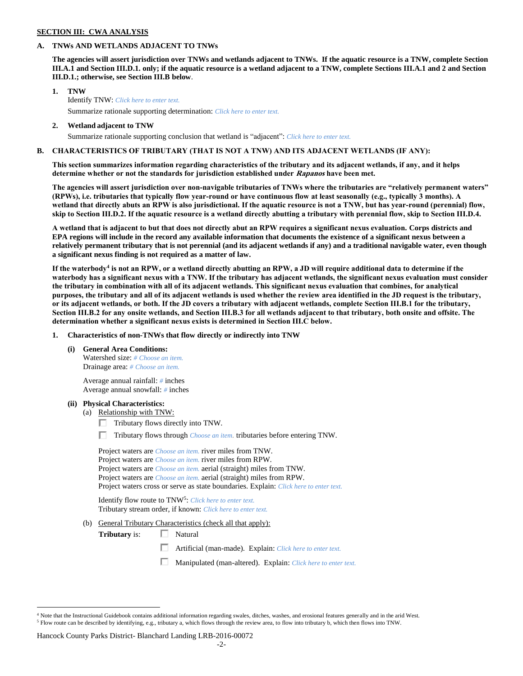# **SECTION III: CWA ANALYSIS**

# **A. TNWs AND WETLANDS ADJACENT TO TNWs**

**The agencies will assert jurisdiction over TNWs and wetlands adjacent to TNWs. If the aquatic resource is a TNW, complete Section III.A.1 and Section III.D.1. only; if the aquatic resource is a wetland adjacent to a TNW, complete Sections III.A.1 and 2 and Section III.D.1.; otherwise, see Section III.B below**.

- **1. TNW**  Identify TNW: *Click here to enter text.* Summarize rationale supporting determination: *Click here to enter text.*
- **2. Wetland adjacent to TNW** Summarize rationale supporting conclusion that wetland is "adjacent": *Click here to enter text.*

# **B. CHARACTERISTICS OF TRIBUTARY (THAT IS NOT A TNW) AND ITS ADJACENT WETLANDS (IF ANY):**

**This section summarizes information regarding characteristics of the tributary and its adjacent wetlands, if any, and it helps determine whether or not the standards for jurisdiction established under Rapanos have been met.** 

**The agencies will assert jurisdiction over non-navigable tributaries of TNWs where the tributaries are "relatively permanent waters" (RPWs), i.e. tributaries that typically flow year-round or have continuous flow at least seasonally (e.g., typically 3 months). A wetland that directly abuts an RPW is also jurisdictional. If the aquatic resource is not a TNW, but has year-round (perennial) flow, skip to Section III.D.2. If the aquatic resource is a wetland directly abutting a tributary with perennial flow, skip to Section III.D.4.**

**A wetland that is adjacent to but that does not directly abut an RPW requires a significant nexus evaluation. Corps districts and EPA regions will include in the record any available information that documents the existence of a significant nexus between a relatively permanent tributary that is not perennial (and its adjacent wetlands if any) and a traditional navigable water, even though a significant nexus finding is not required as a matter of law.**

**If the waterbody<sup>4</sup> is not an RPW, or a wetland directly abutting an RPW, a JD will require additional data to determine if the waterbody has a significant nexus with a TNW. If the tributary has adjacent wetlands, the significant nexus evaluation must consider the tributary in combination with all of its adjacent wetlands. This significant nexus evaluation that combines, for analytical purposes, the tributary and all of its adjacent wetlands is used whether the review area identified in the JD request is the tributary, or its adjacent wetlands, or both. If the JD covers a tributary with adjacent wetlands, complete Section III.B.1 for the tributary, Section III.B.2 for any onsite wetlands, and Section III.B.3 for all wetlands adjacent to that tributary, both onsite and offsite. The determination whether a significant nexus exists is determined in Section III.C below.**

**1. Characteristics of non-TNWs that flow directly or indirectly into TNW**

**(i) General Area Conditions:**

Watershed size: *# Choose an item.* Drainage area: *# Choose an item.*

Average annual rainfall: *#* inches Average annual snowfall: *#* inches

## **(ii) Physical Characteristics:**

- (a) Relationship with TNW:
	- $\Box$  Tributary flows directly into TNW.
	- Tributary flows through *Choose an item.* tributaries before entering TNW.

| Project waters are <i>Choose an item</i> , river miles from TNW.                      |
|---------------------------------------------------------------------------------------|
| Project waters are <i>Choose an item</i> , river miles from RPW.                      |
| Project waters are <i>Choose an item.</i> aerial (straight) miles from TNW.           |
| Project waters are <i>Choose an item.</i> aerial (straight) miles from RPW.           |
| Project waters cross or serve as state boundaries. Explain: Click here to enter text. |

Identify flow route to TNW<sup>5</sup>: Click here to enter text. Tributary stream order, if known: *Click here to enter text.*

(b) General Tributary Characteristics (check all that apply):

**Tributary** is: □ Natural

- П Artificial (man-made). Explain: *Click here to enter text.*
- П. Manipulated (man-altered). Explain: *Click here to enter text.*

## Hancock County Parks District- Blanchard Landing LRB-2016-00072

 $\overline{a}$  $4$  Note that the Instructional Guidebook contains additional information regarding swales, ditches, washes, and erosional features generally and in the arid West. <sup>5</sup> Flow route can be described by identifying, e.g., tributary a, which flows through the review area, to flow into tributary b, which then flows into TNW.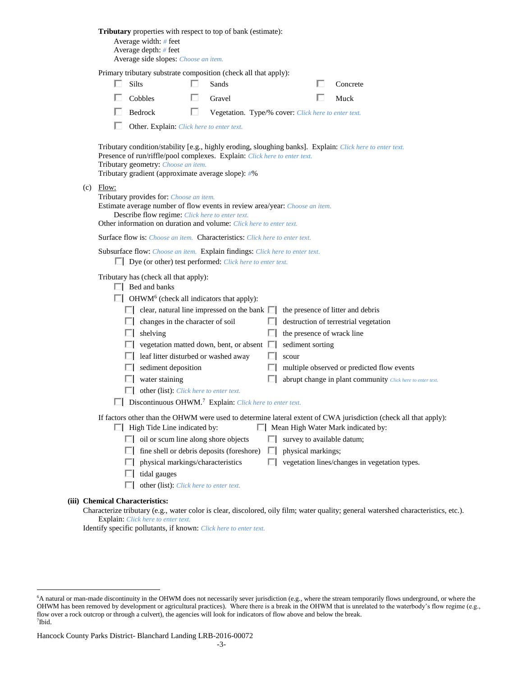|                                                                                                                                                                                                                                                                  |                                                                                                                                                        | Average width: # feet<br>Average depth: # feet<br>Average side slopes: Choose an item.                                                                                                                                                                                                                                                                                                                                                                                                                       |   | <b>Tributary</b> properties with respect to top of bank (estimate):                                                                                                                                                                                                           |                          |                                                                                                             |  |                                                                                                                                                                                                                                                                                                                                                                     |  |  |
|------------------------------------------------------------------------------------------------------------------------------------------------------------------------------------------------------------------------------------------------------------------|--------------------------------------------------------------------------------------------------------------------------------------------------------|--------------------------------------------------------------------------------------------------------------------------------------------------------------------------------------------------------------------------------------------------------------------------------------------------------------------------------------------------------------------------------------------------------------------------------------------------------------------------------------------------------------|---|-------------------------------------------------------------------------------------------------------------------------------------------------------------------------------------------------------------------------------------------------------------------------------|--------------------------|-------------------------------------------------------------------------------------------------------------|--|---------------------------------------------------------------------------------------------------------------------------------------------------------------------------------------------------------------------------------------------------------------------------------------------------------------------------------------------------------------------|--|--|
|                                                                                                                                                                                                                                                                  |                                                                                                                                                        |                                                                                                                                                                                                                                                                                                                                                                                                                                                                                                              |   | Primary tributary substrate composition (check all that apply):                                                                                                                                                                                                               |                          |                                                                                                             |  |                                                                                                                                                                                                                                                                                                                                                                     |  |  |
|                                                                                                                                                                                                                                                                  |                                                                                                                                                        | Silts                                                                                                                                                                                                                                                                                                                                                                                                                                                                                                        |   | Sands                                                                                                                                                                                                                                                                         |                          |                                                                                                             |  | Concrete                                                                                                                                                                                                                                                                                                                                                            |  |  |
|                                                                                                                                                                                                                                                                  |                                                                                                                                                        | Cobbles                                                                                                                                                                                                                                                                                                                                                                                                                                                                                                      |   | Gravel                                                                                                                                                                                                                                                                        |                          |                                                                                                             |  | Muck                                                                                                                                                                                                                                                                                                                                                                |  |  |
|                                                                                                                                                                                                                                                                  |                                                                                                                                                        | Bedrock                                                                                                                                                                                                                                                                                                                                                                                                                                                                                                      | п | Vegetation. Type/% cover: Click here to enter text.                                                                                                                                                                                                                           |                          |                                                                                                             |  |                                                                                                                                                                                                                                                                                                                                                                     |  |  |
|                                                                                                                                                                                                                                                                  |                                                                                                                                                        | Other. Explain: Click here to enter text.                                                                                                                                                                                                                                                                                                                                                                                                                                                                    |   |                                                                                                                                                                                                                                                                               |                          |                                                                                                             |  |                                                                                                                                                                                                                                                                                                                                                                     |  |  |
|                                                                                                                                                                                                                                                                  |                                                                                                                                                        | Tributary geometry: Choose an item.<br>Tributary gradient (approximate average slope): #%                                                                                                                                                                                                                                                                                                                                                                                                                    |   | Presence of run/riffle/pool complexes. Explain: Click here to enter text.                                                                                                                                                                                                     |                          |                                                                                                             |  | Tributary condition/stability [e.g., highly eroding, sloughing banks]. Explain: Click here to enter text.                                                                                                                                                                                                                                                           |  |  |
| (c)<br>Flow:<br>Tributary provides for: Choose an item.<br>Estimate average number of flow events in review area/year: Choose an item.<br>Describe flow regime: Click here to enter text.<br>Other information on duration and volume: Click here to enter text. |                                                                                                                                                        |                                                                                                                                                                                                                                                                                                                                                                                                                                                                                                              |   |                                                                                                                                                                                                                                                                               |                          |                                                                                                             |  |                                                                                                                                                                                                                                                                                                                                                                     |  |  |
|                                                                                                                                                                                                                                                                  |                                                                                                                                                        |                                                                                                                                                                                                                                                                                                                                                                                                                                                                                                              |   | <b>Surface flow is:</b> <i>Choose an item.</i> <b>Characteristics:</b> <i>Click here to enter text.</i>                                                                                                                                                                       |                          |                                                                                                             |  |                                                                                                                                                                                                                                                                                                                                                                     |  |  |
|                                                                                                                                                                                                                                                                  | Subsurface flow: Choose an item. Explain findings: Click here to enter text.<br>$\Box$ Dye (or other) test performed: <i>Click here to enter text.</i> |                                                                                                                                                                                                                                                                                                                                                                                                                                                                                                              |   |                                                                                                                                                                                                                                                                               |                          |                                                                                                             |  |                                                                                                                                                                                                                                                                                                                                                                     |  |  |
|                                                                                                                                                                                                                                                                  | U.<br>L.<br>ш<br>ш<br>L                                                                                                                                | Tributary has (check all that apply):<br>$\Box$ Bed and banks<br>$\Box$ OHWM <sup>6</sup> (check all indicators that apply):<br>$\Box$ changes in the character of soil<br>shelving<br>$\Box$ leaf litter disturbed or washed away<br>$\Box$ sediment deposition<br>water staining<br>other (list): Click here to enter text.<br>$\Box$ High Tide Line indicated by:<br>oil or scum line along shore objects<br>physical markings/characteristics<br>tidal gauges<br>other (list): Click here to enter text. |   | $\Box$ clear, natural line impressed on the bank $\Box$ the presence of litter and debris<br>$\Box$ vegetation matted down, bent, or absent $\Box$<br>$\Box$ Discontinuous OHWM. <sup>7</sup> Explain: Click here to enter text.<br>fine shell or debris deposits (foreshore) | ш<br>ш<br>$\mathbb{R}^n$ | the presence of wrack line<br>sediment sorting<br>scour<br>survey to available datum;<br>physical markings; |  | $\Box$ destruction of terrestrial vegetation<br>multiple observed or predicted flow events<br>abrupt change in plant community Click here to enter text.<br>If factors other than the OHWM were used to determine lateral extent of CWA jurisdiction (check all that apply):<br>Mean High Water Mark indicated by:<br>vegetation lines/changes in vegetation types. |  |  |
|                                                                                                                                                                                                                                                                  | <b>Chemical Characteristics:</b>                                                                                                                       |                                                                                                                                                                                                                                                                                                                                                                                                                                                                                                              |   |                                                                                                                                                                                                                                                                               |                          |                                                                                                             |  | Characterize tributary (e.g., water color is clear, discolored, oily film; water quality; general watershed characteristics, etc.).                                                                                                                                                                                                                                 |  |  |

Explain: *Click here to enter text.*

Identify specific pollutants, if known: *Click here to enter text.*

**(iii)** 

 $\overline{a}$ 

<sup>6</sup>A natural or man-made discontinuity in the OHWM does not necessarily sever jurisdiction (e.g., where the stream temporarily flows underground, or where the OHWM has been removed by development or agricultural practices). Where there is a break in the OHWM that is unrelated to the waterbody's flow regime (e.g., flow over a rock outcrop or through a culvert), the agencies will look for indicators of flow above and below the break. 7 Ibid.

Hancock County Parks District- Blanchard Landing LRB-2016-00072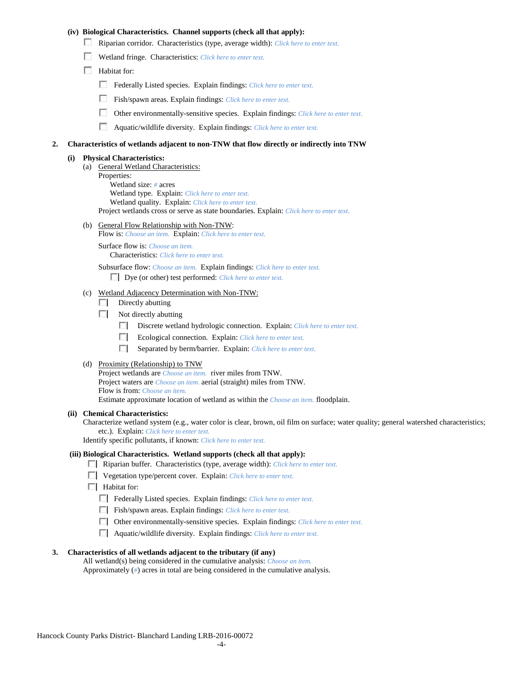# **(iv) Biological Characteristics. Channel supports (check all that apply):**

- Riparian corridor. Characteristics (type, average width): *Click here to enter text.*
- Wetland fringe. Characteristics: *Click here to enter text.*
- $\Box$  Habitat for:
	- Federally Listed species. Explain findings: *Click here to enter text.*
	- Fish/spawn areas. Explain findings: *Click here to enter text.*
	- П. Other environmentally-sensitive species. Explain findings: *Click here to enter text.*
	- П. Aquatic/wildlife diversity. Explain findings: *Click here to enter text.*

#### **2. Characteristics of wetlands adjacent to non-TNW that flow directly or indirectly into TNW**

#### **(i) Physical Characteristics:**

- (a) General Wetland Characteristics:
	- Properties:

Wetland size: *#* acres Wetland type. Explain: *Click here to enter text.*

Wetland quality. Explain: *Click here to enter text.*

Project wetlands cross or serve as state boundaries. Explain: *Click here to enter text.*

(b) General Flow Relationship with Non-TNW: Flow is: *Choose an item.* Explain: *Click here to enter text.*

Surface flow is: *Choose an item.* Characteristics: *Click here to enter text.*

Subsurface flow: *Choose an item.* Explain findings: *Click here to enter text.*

Dye (or other) test performed: *Click here to enter text.*

#### (c) Wetland Adjacency Determination with Non-TNW:

- $\Box$  Directly abutting
- Not directly abutting
	- Discrete wetland hydrologic connection. Explain: *Click here to enter text.*
	- o I Ecological connection. Explain: *Click here to enter text.*
	- $\Box$ Separated by berm/barrier. Explain: *Click here to enter text.*
- (d) Proximity (Relationship) to TNW

Project wetlands are *Choose an item.* river miles from TNW. Project waters are *Choose an item.* aerial (straight) miles from TNW. Flow is from: *Choose an item.* Estimate approximate location of wetland as within the *Choose an item.* floodplain.

#### **(ii) Chemical Characteristics:**

Characterize wetland system (e.g., water color is clear, brown, oil film on surface; water quality; general watershed characteristics; etc.). Explain: *Click here to enter text.*

Identify specific pollutants, if known: *Click here to enter text.*

### **(iii) Biological Characteristics. Wetland supports (check all that apply):**

- Riparian buffer. Characteristics (type, average width): *Click here to enter text.*
- Vegetation type/percent cover. Explain: *Click here to enter text.*
- $\Box$  Habitat for:
	- Federally Listed species. Explain findings: *Click here to enter text*.
	- Fish/spawn areas. Explain findings: *Click here to enter text*.
	- Other environmentally-sensitive species. Explain findings: *Click here to enter text.*
	- Aquatic/wildlife diversity. Explain findings: *Click here to enter text.*

## **3. Characteristics of all wetlands adjacent to the tributary (if any)**

All wetland(s) being considered in the cumulative analysis: *Choose an item.* Approximately (*#*) acres in total are being considered in the cumulative analysis.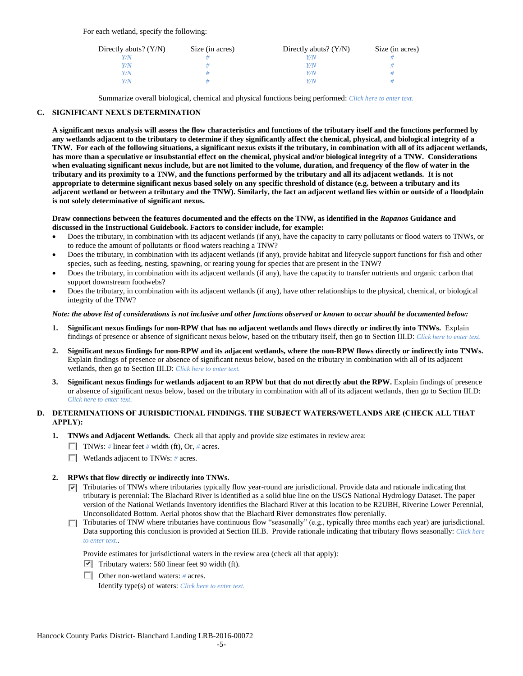For each wetland, specify the following:

| Directly abuts? $(Y/N)$ | Size (in acres) | Directly abuts? $(Y/N)$ | Size (in acres) |
|-------------------------|-----------------|-------------------------|-----------------|
|                         |                 |                         |                 |
| Y/N                     |                 | Y/N                     |                 |
| 77N                     |                 | Y/N                     |                 |
|                         |                 | 77N                     |                 |

Summarize overall biological, chemical and physical functions being performed: *Click here to enter text.*

# **C. SIGNIFICANT NEXUS DETERMINATION**

**A significant nexus analysis will assess the flow characteristics and functions of the tributary itself and the functions performed by any wetlands adjacent to the tributary to determine if they significantly affect the chemical, physical, and biological integrity of a TNW. For each of the following situations, a significant nexus exists if the tributary, in combination with all of its adjacent wetlands, has more than a speculative or insubstantial effect on the chemical, physical and/or biological integrity of a TNW. Considerations when evaluating significant nexus include, but are not limited to the volume, duration, and frequency of the flow of water in the tributary and its proximity to a TNW, and the functions performed by the tributary and all its adjacent wetlands. It is not appropriate to determine significant nexus based solely on any specific threshold of distance (e.g. between a tributary and its adjacent wetland or between a tributary and the TNW). Similarly, the fact an adjacent wetland lies within or outside of a floodplain is not solely determinative of significant nexus.** 

## **Draw connections between the features documented and the effects on the TNW, as identified in the** *Rapanos* **Guidance and discussed in the Instructional Guidebook. Factors to consider include, for example:**

- Does the tributary, in combination with its adjacent wetlands (if any), have the capacity to carry pollutants or flood waters to TNWs, or to reduce the amount of pollutants or flood waters reaching a TNW?
- Does the tributary, in combination with its adjacent wetlands (if any), provide habitat and lifecycle support functions for fish and other species, such as feeding, nesting, spawning, or rearing young for species that are present in the TNW?
- Does the tributary, in combination with its adjacent wetlands (if any), have the capacity to transfer nutrients and organic carbon that support downstream foodwebs?
- Does the tributary, in combination with its adjacent wetlands (if any), have other relationships to the physical, chemical, or biological integrity of the TNW?

# *Note: the above list of considerations is not inclusive and other functions observed or known to occur should be documented below:*

- **1. Significant nexus findings for non-RPW that has no adjacent wetlands and flows directly or indirectly into TNWs.** Explain findings of presence or absence of significant nexus below, based on the tributary itself, then go to Section III.D: *Click here to enter text.*
- **2. Significant nexus findings for non-RPW and its adjacent wetlands, where the non-RPW flows directly or indirectly into TNWs.**  Explain findings of presence or absence of significant nexus below, based on the tributary in combination with all of its adjacent wetlands, then go to Section III.D: *Click here to enter text.*
- **3. Significant nexus findings for wetlands adjacent to an RPW but that do not directly abut the RPW.** Explain findings of presence or absence of significant nexus below, based on the tributary in combination with all of its adjacent wetlands, then go to Section III.D: *Click here to enter text.*

# **D. DETERMINATIONS OF JURISDICTIONAL FINDINGS. THE SUBJECT WATERS/WETLANDS ARE (CHECK ALL THAT APPLY):**

- **1. TNWs and Adjacent Wetlands.** Check all that apply and provide size estimates in review area:
	- TNWs: *#* linear feet *#* width (ft), Or, *#* acres.
	- Wetlands adjacent to TNWs: *#* acres.

# **2. RPWs that flow directly or indirectly into TNWs.**

- $\nabla$  Tributaries of TNWs where tributaries typically flow year-round are jurisdictional. Provide data and rationale indicating that tributary is perennial: The Blachard River is identified as a solid blue line on the USGS National Hydrology Dataset. The paper version of the National Wetlands Inventory identifies the Blachard River at this location to be R2UBH, Riverine Lower Perennial, Unconsolidated Bottom. Aerial photos show that the Blachard River demonstrates flow perenially.
- $\Box$  Tributaries of TNW where tributaries have continuous flow "seasonally" (e.g., typically three months each year) are jurisdictional. Data supporting this conclusion is provided at Section III.B. Provide rationale indicating that tributary flows seasonally: *Click here to enter text.*.

Provide estimates for jurisdictional waters in the review area (check all that apply):

- $\triangledown$  Tributary waters: 560 linear feet 90 width (ft).
- Other non-wetland waters: *#* acres. Identify type(s) of waters: *Click here to enter text.*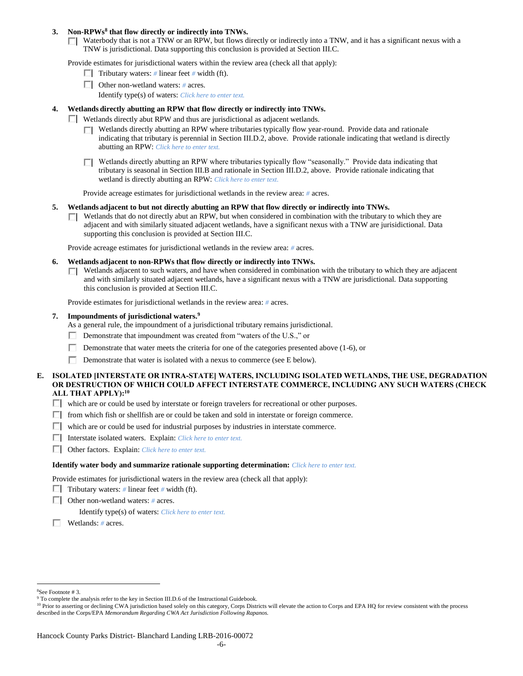# **3. Non-RPWs<sup>8</sup> that flow directly or indirectly into TNWs.**

 $\Box$  Waterbody that is not a TNW or an RPW, but flows directly or indirectly into a TNW, and it has a significant nexus with a TNW is jurisdictional. Data supporting this conclusion is provided at Section III.C.

Provide estimates for jurisdictional waters within the review area (check all that apply):

- **Tributary waters:** # linear feet # width (ft).
- Other non-wetland waters: *#* acres.
	- Identify type(s) of waters: *Click here to enter text.*

# **4. Wetlands directly abutting an RPW that flow directly or indirectly into TNWs.**

- Wetlands directly abut RPW and thus are jurisdictional as adjacent wetlands.
	- $\Box$  Wetlands directly abutting an RPW where tributaries typically flow year-round. Provide data and rationale indicating that tributary is perennial in Section III.D.2, above. Provide rationale indicating that wetland is directly abutting an RPW: *Click here to enter text.*
	- $\Box$  Wetlands directly abutting an RPW where tributaries typically flow "seasonally." Provide data indicating that tributary is seasonal in Section III.B and rationale in Section III.D.2, above. Provide rationale indicating that wetland is directly abutting an RPW: *Click here to enter text.*

Provide acreage estimates for jurisdictional wetlands in the review area: *#* acres.

- **5. Wetlands adjacent to but not directly abutting an RPW that flow directly or indirectly into TNWs.**
	- $\Box$  Wetlands that do not directly abut an RPW, but when considered in combination with the tributary to which they are adjacent and with similarly situated adjacent wetlands, have a significant nexus with a TNW are jurisidictional. Data supporting this conclusion is provided at Section III.C.

Provide acreage estimates for jurisdictional wetlands in the review area: *#* acres.

- **6. Wetlands adjacent to non-RPWs that flow directly or indirectly into TNWs.** 
	- $\Box$  Wetlands adjacent to such waters, and have when considered in combination with the tributary to which they are adjacent and with similarly situated adjacent wetlands, have a significant nexus with a TNW are jurisdictional. Data supporting this conclusion is provided at Section III.C.

Provide estimates for jurisdictional wetlands in the review area: *#* acres.

## **7. Impoundments of jurisdictional waters. 9**

As a general rule, the impoundment of a jurisdictional tributary remains jurisdictional.

- Demonstrate that impoundment was created from "waters of the U.S.," or
- Demonstrate that water meets the criteria for one of the categories presented above (1-6), or
- П. Demonstrate that water is isolated with a nexus to commerce (see E below).
- **E. ISOLATED [INTERSTATE OR INTRA-STATE] WATERS, INCLUDING ISOLATED WETLANDS, THE USE, DEGRADATION OR DESTRUCTION OF WHICH COULD AFFECT INTERSTATE COMMERCE, INCLUDING ANY SUCH WATERS (CHECK ALL THAT APPLY):<sup>10</sup>**
	- $\Box$  which are or could be used by interstate or foreign travelers for recreational or other purposes.
	- $\Box$  from which fish or shellfish are or could be taken and sold in interstate or foreign commerce.
	- $\Box$  which are or could be used for industrial purposes by industries in interstate commerce.
	- Interstate isolated waters.Explain: *Click here to enter text.*
	- Other factors.Explain: *Click here to enter text.*

#### **Identify water body and summarize rationale supporting determination:** *Click here to enter text.*

Provide estimates for jurisdictional waters in the review area (check all that apply):

- Tributary waters:  $\#$  linear feet  $\#$  width (ft).
- Other non-wetland waters: *#* acres.

Identify type(s) of waters: *Click here to enter text.*

Wetlands: *#* acres.

 $\overline{a}$ <sup>8</sup>See Footnote # 3.

<sup>&</sup>lt;sup>9</sup> To complete the analysis refer to the key in Section III.D.6 of the Instructional Guidebook.

<sup>&</sup>lt;sup>10</sup> Prior to asserting or declining CWA jurisdiction based solely on this category, Corps Districts will elevate the action to Corps and EPA HQ for review consistent with the process described in the Corps/EPA *Memorandum Regarding CWA Act Jurisdiction Following Rapanos.*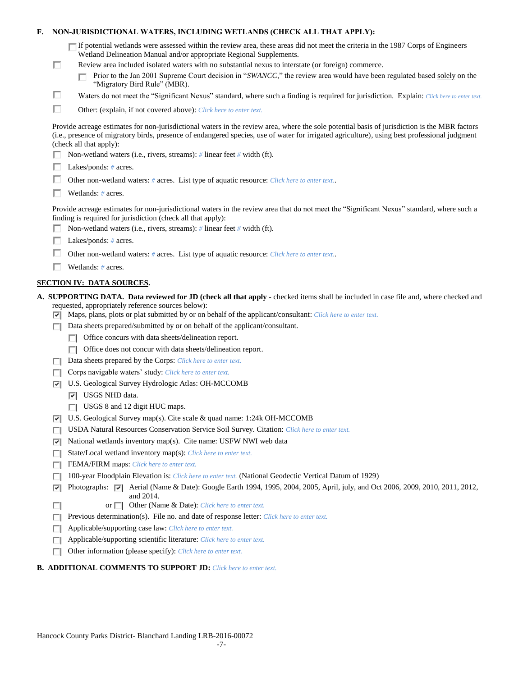| F. |    | NON-JURISDICTIONAL WATERS, INCLUDING WETLANDS (CHECK ALL THAT APPLY):                                                                                                                                                                                                                                                                                                                                                                            |  |  |  |  |  |  |
|----|----|--------------------------------------------------------------------------------------------------------------------------------------------------------------------------------------------------------------------------------------------------------------------------------------------------------------------------------------------------------------------------------------------------------------------------------------------------|--|--|--|--|--|--|
|    | П  | $\Box$ If potential wetlands were assessed within the review area, these areas did not meet the criteria in the 1987 Corps of Engineers<br>Wetland Delineation Manual and/or appropriate Regional Supplements.<br>Review area included isolated waters with no substantial nexus to interstate (or foreign) commerce.<br>Prior to the Jan 2001 Supreme Court decision in "SWANCC," the review area would have been regulated based solely on the |  |  |  |  |  |  |
|    |    | "Migratory Bird Rule" (MBR).                                                                                                                                                                                                                                                                                                                                                                                                                     |  |  |  |  |  |  |
|    | □  | Waters do not meet the "Significant Nexus" standard, where such a finding is required for jurisdiction. Explain: Click here to enter text.                                                                                                                                                                                                                                                                                                       |  |  |  |  |  |  |
|    | п  | Other: (explain, if not covered above): Click here to enter text.                                                                                                                                                                                                                                                                                                                                                                                |  |  |  |  |  |  |
|    |    | Provide acreage estimates for non-jurisdictional waters in the review area, where the sole potential basis of jurisdiction is the MBR factors<br>(i.e., presence of migratory birds, presence of endangered species, use of water for irrigated agriculture), using best professional judgment<br>(check all that apply):                                                                                                                        |  |  |  |  |  |  |
|    |    | Non-wetland waters (i.e., rivers, streams): # linear feet # width (ft).                                                                                                                                                                                                                                                                                                                                                                          |  |  |  |  |  |  |
|    |    | Lakes/ponds: $# \, \text{acres.}$                                                                                                                                                                                                                                                                                                                                                                                                                |  |  |  |  |  |  |
|    |    | Other non-wetland waters: # acres. List type of aquatic resource: Click here to enter text                                                                                                                                                                                                                                                                                                                                                       |  |  |  |  |  |  |
|    |    | Wetlands: $#$ acres.                                                                                                                                                                                                                                                                                                                                                                                                                             |  |  |  |  |  |  |
|    |    | Provide acreage estimates for non-jurisdictional waters in the review area that do not meet the "Significant Nexus" standard, where such a<br>finding is required for jurisdiction (check all that apply):                                                                                                                                                                                                                                       |  |  |  |  |  |  |
|    |    | Non-wetland waters (i.e., rivers, streams): $\#$ linear feet $\#$ width (ft).                                                                                                                                                                                                                                                                                                                                                                    |  |  |  |  |  |  |
|    |    | Lakes/ponds: $# \, \text{acres.}$                                                                                                                                                                                                                                                                                                                                                                                                                |  |  |  |  |  |  |
|    |    | Other non-wetland waters: # acres. List type of aquatic resource: Click here to enter text                                                                                                                                                                                                                                                                                                                                                       |  |  |  |  |  |  |
|    |    | Wetlands: $#$ acres.                                                                                                                                                                                                                                                                                                                                                                                                                             |  |  |  |  |  |  |
|    |    | <b>SECTION IV: DATA SOURCES.</b>                                                                                                                                                                                                                                                                                                                                                                                                                 |  |  |  |  |  |  |
|    |    | A. SUPPORTING DATA. Data reviewed for JD (check all that apply - checked items shall be included in case file and, where checked and<br>requested, appropriately reference sources below):<br>$\triangleright$ Maps, plans, plots or plat submitted by or on behalf of the applicant/consultant: Click here to enter text.                                                                                                                       |  |  |  |  |  |  |
|    |    | Data sheets prepared/submitted by or on behalf of the applicant/consultant.                                                                                                                                                                                                                                                                                                                                                                      |  |  |  |  |  |  |
|    |    | Office concurs with data sheets/delineation report.                                                                                                                                                                                                                                                                                                                                                                                              |  |  |  |  |  |  |
|    |    | Office does not concur with data sheets/delineation report.                                                                                                                                                                                                                                                                                                                                                                                      |  |  |  |  |  |  |
|    |    | Data sheets prepared by the Corps: Click here to enter text.                                                                                                                                                                                                                                                                                                                                                                                     |  |  |  |  |  |  |
|    |    | Corps navigable waters' study: Click here to enter text.                                                                                                                                                                                                                                                                                                                                                                                         |  |  |  |  |  |  |
|    | 罓  | U.S. Geological Survey Hydrologic Atlas: OH-MCCOMB                                                                                                                                                                                                                                                                                                                                                                                               |  |  |  |  |  |  |
|    |    | $ \overline{v} $ USGS NHD data.                                                                                                                                                                                                                                                                                                                                                                                                                  |  |  |  |  |  |  |
|    |    | $\Box$ USGS 8 and 12 digit HUC maps.                                                                                                                                                                                                                                                                                                                                                                                                             |  |  |  |  |  |  |
|    | 罓  | U.S. Geological Survey map(s). Cite scale & quad name: 1:24k OH-MCCOMB                                                                                                                                                                                                                                                                                                                                                                           |  |  |  |  |  |  |
|    |    | USDA Natural Resources Conservation Service Soil Survey. Citation: Click here to enter text.                                                                                                                                                                                                                                                                                                                                                     |  |  |  |  |  |  |
|    | ⊽  | National wetlands inventory map(s). Cite name: USFW NWI web data                                                                                                                                                                                                                                                                                                                                                                                 |  |  |  |  |  |  |
|    | Е  | State/Local wetland inventory map(s): Click here to enter text.                                                                                                                                                                                                                                                                                                                                                                                  |  |  |  |  |  |  |
|    |    | FEMA/FIRM maps: Click here to enter text.<br>100-year Floodplain Elevation is: Click here to enter text. (National Geodectic Vertical Datum of 1929)                                                                                                                                                                                                                                                                                             |  |  |  |  |  |  |
|    |    | Photographs: $\overline{v}$ Aerial (Name & Date): Google Earth 1994, 1995, 2004, 2005, April, july, and Oct 2006, 2009, 2010, 2011, 2012,                                                                                                                                                                                                                                                                                                        |  |  |  |  |  |  |
|    | ∣∽ | and 2014.                                                                                                                                                                                                                                                                                                                                                                                                                                        |  |  |  |  |  |  |
|    | п  | Other (Name & Date): Click here to enter text.<br>or $\Box$                                                                                                                                                                                                                                                                                                                                                                                      |  |  |  |  |  |  |
|    |    | Previous determination(s). File no. and date of response letter: Click here to enter text.                                                                                                                                                                                                                                                                                                                                                       |  |  |  |  |  |  |
|    |    |                                                                                                                                                                                                                                                                                                                                                                                                                                                  |  |  |  |  |  |  |
|    |    | Applicable/supporting case law: Click here to enter text.                                                                                                                                                                                                                                                                                                                                                                                        |  |  |  |  |  |  |
|    |    | Applicable/supporting scientific literature: Click here to enter text.<br>Other information (please specify): Click here to enter text.                                                                                                                                                                                                                                                                                                          |  |  |  |  |  |  |

# **B. ADDITIONAL COMMENTS TO SUPPORT JD:** *Click here to enter text.*